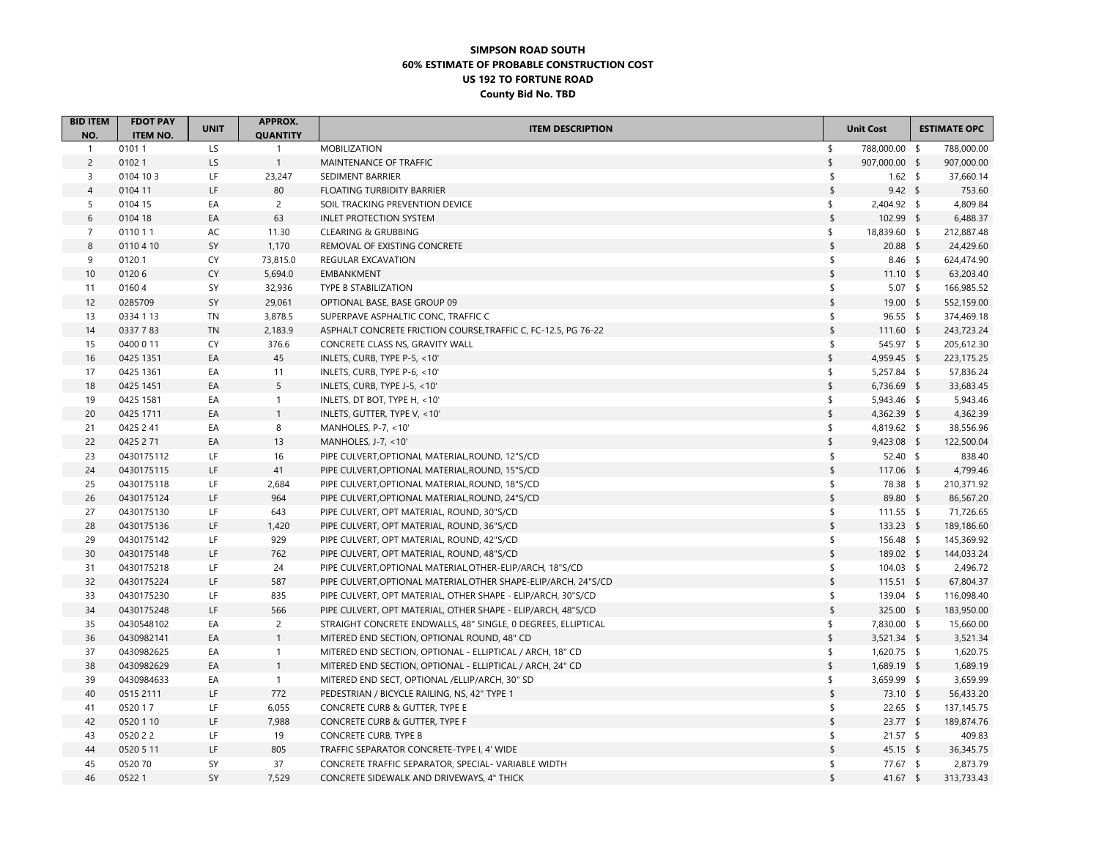## **SIMPSON ROAD SOUTH60% ESTIMATE OF PROBABLE CONSTRUCTION COST US 192 TO FORTUNE ROAD County Bid No. TBD**

| <b>BID ITEM</b>     | <b>FDOT PAY</b>          | <b>UNIT</b> | <b>APPROX.</b>                  | <b>ITEM DESCRIPTION</b>                                         |                         | <b>Unit Cost</b> | <b>ESTIMATE OPC</b> |
|---------------------|--------------------------|-------------|---------------------------------|-----------------------------------------------------------------|-------------------------|------------------|---------------------|
| NO.<br>$\mathbf{1}$ | <b>ITEM NO.</b><br>01011 | LS          | <b>QUANTITY</b><br>$\mathbf{1}$ | <b>MOBILIZATION</b>                                             | $\sqrt{2}$              | 788,000.00 \$    | 788,000.00          |
| $\overline{c}$      | 01021                    | LS          | $\mathbf{1}$                    | MAINTENANCE OF TRAFFIC                                          | \$                      | 907,000.00 \$    | 907,000.00          |
| 3                   | 0104 10 3                | LF          | 23,247                          | SEDIMENT BARRIER                                                | $\sqrt{2}$              | $1.62$ \$        | 37,660.14           |
| $\overline{4}$      | 0104 11                  | LF          | 80                              | FLOATING TURBIDITY BARRIER                                      | $\sqrt{2}$              | $9.42 \quad$     | 753.60              |
| 5                   | 0104 15                  | EA          | $\overline{2}$                  | SOIL TRACKING PREVENTION DEVICE                                 | \$                      | 2,404.92 \$      | 4,809.84            |
| 6                   | 0104 18                  | EA          | 63                              | <b>INLET PROTECTION SYSTEM</b>                                  | $\sqrt{2}$              | 102.99 \$        | 6,488.37            |
| $\overline{7}$      | 0110 1 1                 | AC          | 11.30                           | CLEARING & GRUBBING                                             | \$                      | 18,839.60 \$     | 212,887.48          |
| 8                   | 0110 4 10                | SY          | 1,170                           | REMOVAL OF EXISTING CONCRETE                                    | $\sqrt{\frac{1}{2}}$    | $20.88$ \$       | 24,429.60           |
| 9                   | 01201                    | CY          | 73,815.0                        | REGULAR EXCAVATION                                              | $\mathsf{\$}$           | $8.46$ \$        | 624,474.90          |
| 10                  | 01206                    | CY          | 5,694.0                         | <b>EMBANKMENT</b>                                               | $\sqrt{\frac{1}{2}}$    | $11.10$ \$       | 63,203.40           |
| 11                  | 01604                    | SY          | 32,936                          | TYPE B STABILIZATION                                            | \$                      | $5.07$ \$        | 166,985.52          |
| 12                  | 0285709                  | SY          | 29,061                          | OPTIONAL BASE, BASE GROUP 09                                    | $\sqrt[6]{\frac{1}{2}}$ | 19.00 \$         | 552,159.00          |
| 13                  | 0334 1 13                | TN          | 3,878.5                         | SUPERPAVE ASPHALTIC CONC, TRAFFIC C                             | \$                      | $96.55$ \$       | 374,469.18          |
| 14                  | 0337783                  | <b>TN</b>   | 2,183.9                         | ASPHALT CONCRETE FRICTION COURSE, TRAFFIC C, FC-12.5, PG 76-22  | $\,$                    | $111.60$ \$      | 243,723.24          |
| 15                  | 0400 0 11                | CY          | 376.6                           | CONCRETE CLASS NS, GRAVITY WALL                                 | \$                      | 545.97 \$        | 205,612.30          |
| 16                  | 0425 1351                | EA          | 45                              | INLETS, CURB, TYPE P-5, <10'                                    | \$                      | 4,959.45 \$      | 223,175.25          |
| 17                  | 0425 1361                | EA          | 11                              | INLETS, CURB, TYPE P-6, <10'                                    | \$                      | $5,257.84$ \$    | 57,836.24           |
| 18                  | 0425 1451                | EA          | 5                               | INLETS, CURB, TYPE J-5, <10'                                    | $\sqrt{2}$              | 6,736.69 \$      | 33,683.45           |
| 19                  | 0425 1581                | EA          | $\mathbf{1}$                    | INLETS, DT BOT, TYPE H, <10'                                    | \$                      | 5,943.46 \$      | 5,943.46            |
| 20                  | 0425 1711                | EA          | $\mathbf{1}$                    | INLETS, GUTTER, TYPE V, <10'                                    | $\frac{1}{2}$           | 4,362.39 \$      | 4,362.39            |
| 21                  | 0425 2 41                | EA          | 8                               | MANHOLES, P-7, <10'                                             | \$                      | 4,819.62 \$      | 38,556.96           |
| 22                  | 0425 2 71                | EA          | 13                              | MANHOLES, J-7, <10'                                             | $\sqrt{2}$              | 9,423.08 \$      | 122,500.04          |
| 23                  | 0430175112               | LF          | 16                              | PIPE CULVERT, OPTIONAL MATERIAL, ROUND, 12"S/CD                 | \$                      | $52.40$ \$       | 838.40              |
| 24                  | 0430175115               | LF          | 41                              | PIPE CULVERT, OPTIONAL MATERIAL, ROUND, 15"S/CD                 | $\sqrt{\frac{1}{2}}$    | 117.06 \$        | 4,799.46            |
| 25                  | 0430175118               | LF.         | 2,684                           | PIPE CULVERT, OPTIONAL MATERIAL, ROUND, 18"S/CD                 | \$                      | 78.38 \$         | 210,371.92          |
| 26                  | 0430175124               | LF          | 964                             | PIPE CULVERT, OPTIONAL MATERIAL, ROUND, 24"S/CD                 | $\sqrt[6]{\frac{1}{2}}$ | 89.80 \$         | 86,567.20           |
| 27                  | 0430175130               | LF.         | 643                             | PIPE CULVERT, OPT MATERIAL, ROUND, 30"S/CD                      | \$                      | $111.55$ \$      | 71,726.65           |
| 28                  | 0430175136               | LF          | 1,420                           | PIPE CULVERT, OPT MATERIAL, ROUND, 36"S/CD                      | $\,$                    | 133.23 \$        | 189,186.60          |
| 29                  | 0430175142               | LF.         | 929                             | PIPE CULVERT, OPT MATERIAL, ROUND, 42"S/CD                      | \$                      | 156.48 \$        | 145,369.92          |
| 30                  | 0430175148               | LF.         | 762                             | PIPE CULVERT, OPT MATERIAL, ROUND, 48"S/CD                      | $\sqrt{s}$              | 189.02 \$        | 144,033.24          |
| 31                  | 0430175218               | LF          | 24                              | PIPE CULVERT, OPTIONAL MATERIAL, OTHER-ELIP/ARCH, 18"S/CD       | \$                      | 104.03 \$        | 2,496.72            |
| 32                  | 0430175224               | LF          | 587                             | PIPE CULVERT, OPTIONAL MATERIAL, OTHER SHAPE-ELIP/ARCH, 24"S/CD | $\sqrt{\frac{1}{2}}$    | $115.51$ \$      | 67,804.37           |
| 33                  | 0430175230               | LF          | 835                             | PIPE CULVERT, OPT MATERIAL, OTHER SHAPE - ELIP/ARCH, 30"S/CD    | \$                      | 139.04 \$        | 116,098.40          |
| 34                  | 0430175248               | LF          | 566                             | PIPE CULVERT, OPT MATERIAL, OTHER SHAPE - ELIP/ARCH, 48"S/CD    | $\,$                    | 325.00 \$        | 183,950.00          |
| 35                  | 0430548102               | EA          | $\overline{2}$                  | STRAIGHT CONCRETE ENDWALLS, 48" SINGLE, 0 DEGREES, ELLIPTICAL   | \$                      | 7,830.00 \$      | 15,660.00           |
| 36                  | 0430982141               | EA          | $\mathbf{1}$                    | MITERED END SECTION, OPTIONAL ROUND, 48" CD                     | $\sqrt{2}$              | $3,521.34$ \$    | 3,521.34            |
| 37                  | 0430982625               | EA          | $\mathbf{1}$                    | MITERED END SECTION, OPTIONAL - ELLIPTICAL / ARCH, 18" CD       | $\frac{1}{2}$           | 1,620.75 \$      | 1,620.75            |
| 38                  | 0430982629               | EA          | $\mathbf{1}$                    | MITERED END SECTION, OPTIONAL - ELLIPTICAL / ARCH, 24" CD       | $\sqrt{2}$              | 1,689.19 \$      | 1,689.19            |
| 39                  | 0430984633               | EA          | $\mathbf{1}$                    | MITERED END SECT, OPTIONAL /ELLIP/ARCH, 30" SD                  | \$                      | 3,659.99 \$      | 3,659.99            |
| 40                  | 0515 2111                | LF          | 772                             | PEDESTRIAN / BICYCLE RAILING, NS, 42" TYPE 1                    | $\sqrt{2}$              | 73.10 \$         | 56,433.20           |
| 41                  | 0520 17                  | LF          | 6,055                           | CONCRETE CURB & GUTTER, TYPE E                                  | \$                      | $22.65$ \$       | 137, 145.75         |
| 42                  | 0520 1 10                | LF          | 7,988                           | CONCRETE CURB & GUTTER, TYPE F                                  | $\,$                    | $23.77$ \$       | 189,874.76          |
| 43                  | 0520 2 2                 | LF.         | 19                              | CONCRETE CURB, TYPE B                                           | \$                      | $21.57$ \$       | 409.83              |
| 44                  | 0520 5 11                | LF          | 805                             | TRAFFIC SEPARATOR CONCRETE-TYPE I, 4' WIDE                      | $\sqrt{2}$              | $45.15$ \$       | 36,345.75           |
| 45                  | 0520 70                  | SY          | 37                              | CONCRETE TRAFFIC SEPARATOR, SPECIAL- VARIABLE WIDTH             | \$                      | 77.67 \$         | 2,873.79            |
| 46                  | 05221                    | SY          | 7,529                           | CONCRETE SIDEWALK AND DRIVEWAYS, 4" THICK                       | $\sqrt{2}$              | 41.67 \$         | 313,733.43          |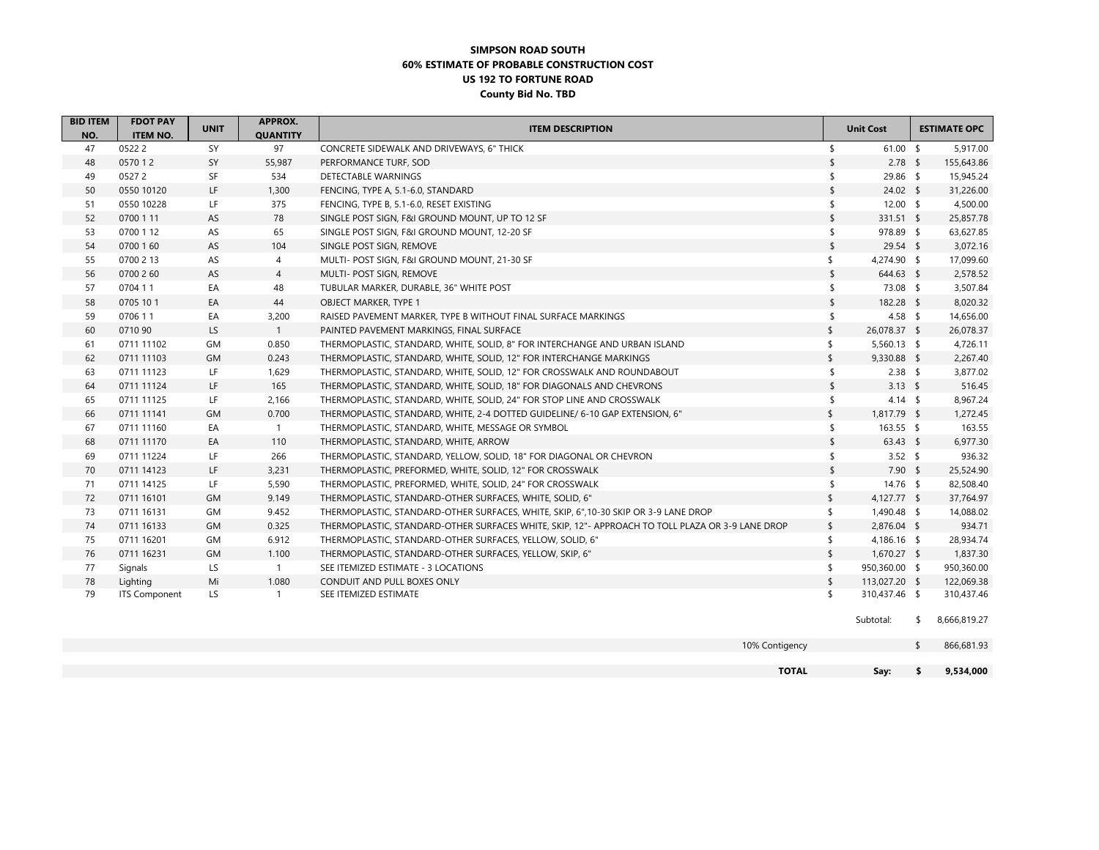## **SIMPSON ROAD SOUTH60% ESTIMATE OF PROBABLE CONSTRUCTION COST US 192 TO FORTUNE ROAD County Bid No. TBD**

| <b>BID ITEM</b> | <b>FDOT PAY</b>      | <b>UNIT</b> | <b>APPROX.</b>  | <b>ITEM DESCRIPTION</b>                                                                          |               | <b>Unit Cost</b> | <b>ESTIMATE OPC</b> |
|-----------------|----------------------|-------------|-----------------|--------------------------------------------------------------------------------------------------|---------------|------------------|---------------------|
| NO.             | <b>ITEM NO.</b>      |             | <b>QUANTITY</b> |                                                                                                  |               |                  |                     |
| 47              | 05222                | SY          | 97              | CONCRETE SIDEWALK AND DRIVEWAYS, 6" THICK                                                        | \$            | $61.00$ \$       | 5,917.00            |
| 48              | 0570 12              | SY          | 55,987          | PERFORMANCE TURF, SOD                                                                            | \$            | $2.78$ \$        | 155,643.86          |
| 49              | 05272                | SF          | 534             | DETECTABLE WARNINGS                                                                              | \$            | 29.86 \$         | 15,945.24           |
| 50              | 0550 10120           | LF          | 1,300           | FENCING, TYPE A, 5.1-6.0, STANDARD                                                               | \$            | $24.02$ \$       | 31,226.00           |
| 51              | 0550 10228           | LF          | 375             | FENCING, TYPE B, 5.1-6.0, RESET EXISTING                                                         | \$            | $12.00 \quad$ \$ | 4,500.00            |
| 52              | 0700 1 11            | AS          | 78              | SINGLE POST SIGN, F&I GROUND MOUNT, UP TO 12 SF                                                  | $\mathsf{\$}$ | 331.51 \$        | 25,857.78           |
| 53              | 0700 1 12            | AS          | 65              | SINGLE POST SIGN, F&I GROUND MOUNT, 12-20 SF                                                     | \$            | 978.89 \$        | 63,627.85           |
| 54              | 0700 1 60            | AS          | 104             | SINGLE POST SIGN, REMOVE                                                                         | \$            | $29.54$ \$       | 3,072.16            |
| 55              | 0700 2 13            | AS          | $\overline{4}$  | MULTI- POST SIGN, F&I GROUND MOUNT, 21-30 SF                                                     | \$            | 4,274.90 \$      | 17,099.60           |
| 56              | 0700 2 60            | AS          | $\overline{4}$  | MULTI- POST SIGN, REMOVE                                                                         | \$            | 644.63 \$        | 2,578.52            |
| 57              | 0704 11              | EA          | 48              | TUBULAR MARKER, DURABLE, 36" WHITE POST                                                          | \$            | 73.08 \$         | 3,507.84            |
| 58              | 0705 10 1            | EA          | 44              | OBJECT MARKER, TYPE 1                                                                            | $\mathsf{\$}$ | 182.28 \$        | 8,020.32            |
| 59              | 0706 11              | EA          | 3,200           | RAISED PAVEMENT MARKER, TYPE B WITHOUT FINAL SURFACE MARKINGS                                    | \$            | 4.58 \$          | 14,656.00           |
| 60              | 0710 90              | LS          | $\mathbf{1}$    | PAINTED PAVEMENT MARKINGS, FINAL SURFACE                                                         | \$            | 26,078.37 \$     | 26,078.37           |
| 61              | 0711 11102           | GM          | 0.850           | THERMOPLASTIC, STANDARD, WHITE, SOLID, 8" FOR INTERCHANGE AND URBAN ISLAND                       | \$            | $5,560.13$ \$    | 4,726.11            |
| 62              | 0711 11103           | GM          | 0.243           | THERMOPLASTIC, STANDARD, WHITE, SOLID, 12" FOR INTERCHANGE MARKINGS                              | \$            | 9,330.88 \$      | 2,267.40            |
| 63              | 0711 11123           | LF          | 1,629           | THERMOPLASTIC, STANDARD, WHITE, SOLID, 12" FOR CROSSWALK AND ROUNDABOUT                          | \$            | $2.38$ \$        | 3,877.02            |
| 64              | 0711 11124           | LF.         | 165             | THERMOPLASTIC, STANDARD, WHITE, SOLID, 18" FOR DIAGONALS AND CHEVRONS                            | \$            | 3.13 \$          | 516.45              |
| 65              | 0711 11125           | LF          | 2,166           | THERMOPLASTIC, STANDARD, WHITE, SOLID, 24" FOR STOP LINE AND CROSSWALK                           | \$            | $4.14$ \$        | 8,967.24            |
| 66              | 0711 11141           | GM          | 0.700           | THERMOPLASTIC, STANDARD, WHITE, 2-4 DOTTED GUIDELINE/ 6-10 GAP EXTENSION, 6"                     | \$            | 1,817.79 \$      | 1,272.45            |
| 67              | 0711 11160           | EA          | $\mathbf{1}$    | THERMOPLASTIC, STANDARD, WHITE, MESSAGE OR SYMBOL                                                | \$            | 163.55 \$        | 163.55              |
| 68              | 0711 11170           | EA          | 110             | THERMOPLASTIC, STANDARD, WHITE, ARROW                                                            | \$            | $63.43$ \$       | 6,977.30            |
| 69              | 0711 11224           | LF.         | 266             | THERMOPLASTIC, STANDARD, YELLOW, SOLID, 18" FOR DIAGONAL OR CHEVRON                              | \$            | 3.52 $$$         | 936.32              |
| 70              | 0711 14123           | LF          | 3,231           | THERMOPLASTIC, PREFORMED, WHITE, SOLID, 12" FOR CROSSWALK                                        | \$            | $7.90$ \$        | 25,524.90           |
| 71              | 0711 14125           | LF.         | 5,590           | THERMOPLASTIC, PREFORMED, WHITE, SOLID, 24" FOR CROSSWALK                                        | \$            | $14.76$ \$       | 82,508.40           |
| 72              | 0711 16101           | GM          | 9.149           | THERMOPLASTIC, STANDARD-OTHER SURFACES, WHITE, SOLID, 6"                                         | \$            | 4,127.77 \$      | 37,764.97           |
| 73              | 0711 16131           | <b>GM</b>   | 9.452           | THERMOPLASTIC, STANDARD-OTHER SURFACES, WHITE, SKIP, 6",10-30 SKIP OR 3-9 LANE DROP              | \$            | 1,490.48 \$      | 14,088.02           |
| 74              | 0711 16133           | GM          | 0.325           | THERMOPLASTIC, STANDARD-OTHER SURFACES WHITE, SKIP, 12"- APPROACH TO TOLL PLAZA OR 3-9 LANE DROP | $\sqrt{2}$    | $2,876.04$ \$    | 934.71              |
| 75              | 0711 16201           | GM          | 6.912           | THERMOPLASTIC, STANDARD-OTHER SURFACES, YELLOW, SOLID, 6"                                        | \$            | 4,186.16 \$      | 28,934.74           |
| 76              | 0711 16231           | GM          | 1.100           | THERMOPLASTIC, STANDARD-OTHER SURFACES, YELLOW, SKIP, 6"                                         | $\sqrt{2}$    | $1,670.27$ \$    | 1,837.30            |
| 77              | Signals              | LS.         | $\mathbf{1}$    | SEE ITEMIZED ESTIMATE - 3 LOCATIONS                                                              | \$            | 950,360.00 \$    | 950,360.00          |
| 78              | Lighting             | Mi          | 1.080           | CONDUIT AND PULL BOXES ONLY                                                                      | \$            | 113,027.20 \$    | 122,069.38          |
| 79              | <b>ITS Component</b> | LS          | $\mathbf{1}$    | SEE ITEMIZED ESTIMATE                                                                            | \$            | 310,437.46 \$    | 310,437.46          |
|                 |                      |             |                 |                                                                                                  |               |                  |                     |
|                 |                      |             |                 |                                                                                                  |               | Subtotal:        | \$<br>8,666,819.27  |
|                 |                      |             |                 | 10% Contigency                                                                                   |               |                  | \$<br>866,681.93    |
|                 |                      |             |                 | <b>TOTAL</b>                                                                                     |               | Say:             | \$<br>9,534,000     |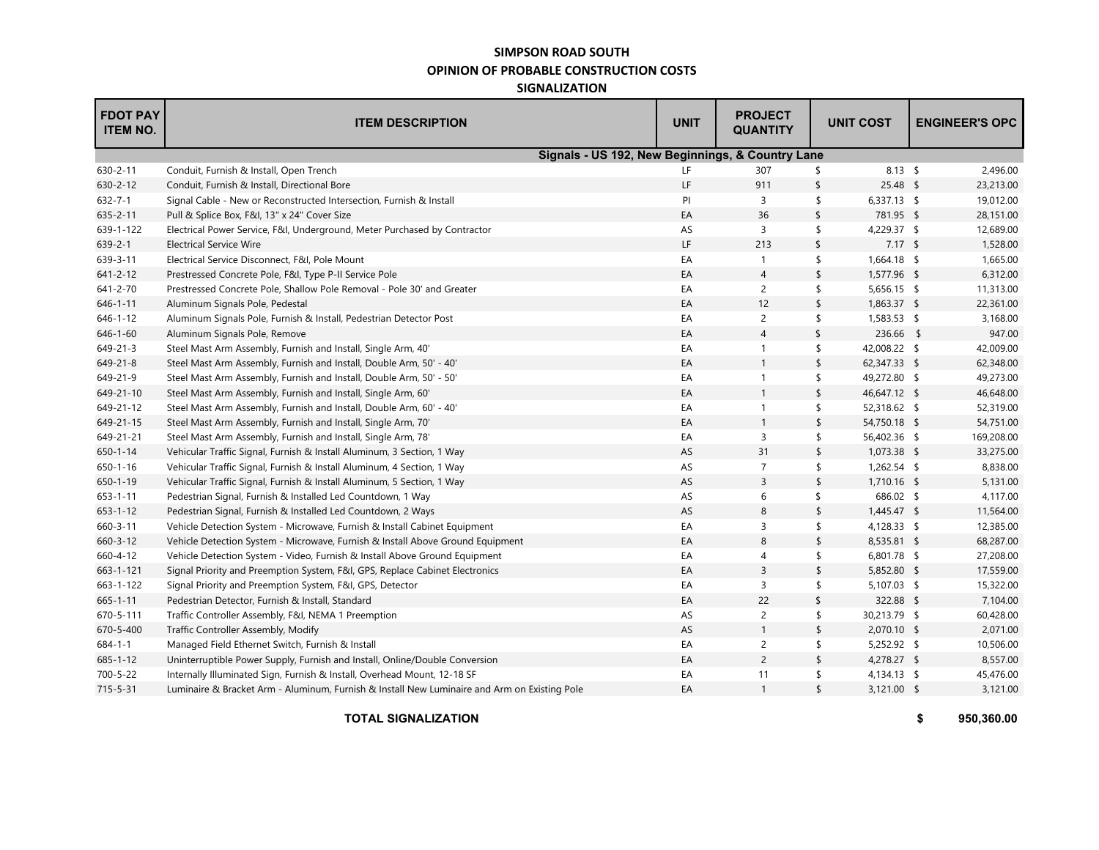## **SIMPSON ROAD SOUTH OPINION OF PROBABLE CONSTRUCTION COSTS SIGNALIZATION**

| <b>FDOT PAY</b><br><b>ITEM NO.</b> | <b>ITEM DESCRIPTION</b>                                                                      | <b>UNIT</b> | <b>PROJECT</b><br><b>QUANTITY</b> | <b>UNIT COST</b> |               |  | <b>ENGINEER'S OPC</b> |  |
|------------------------------------|----------------------------------------------------------------------------------------------|-------------|-----------------------------------|------------------|---------------|--|-----------------------|--|
|                                    | Signals - US 192, New Beginnings, & Country Lane                                             |             |                                   |                  |               |  |                       |  |
| 630-2-11                           | Conduit, Furnish & Install, Open Trench                                                      | LF          | 307                               | \$               | $8.13$ \$     |  | 2,496.00              |  |
| $630 - 2 - 12$                     | Conduit, Furnish & Install, Directional Bore                                                 | LF          | 911                               | \$               | $25.48$ \$    |  | 23,213.00             |  |
| $632 - 7 - 1$                      | Signal Cable - New or Reconstructed Intersection, Furnish & Install                          | PI          | 3                                 | \$               | $6,337.13$ \$ |  | 19,012.00             |  |
| $635 - 2 - 11$                     | Pull & Splice Box, F&I, 13" x 24" Cover Size                                                 | EA          | 36                                | \$               | 781.95 \$     |  | 28,151.00             |  |
| 639-1-122                          | Electrical Power Service, F&I, Underground, Meter Purchased by Contractor                    | AS          | 3                                 | \$               | 4,229.37 \$   |  | 12,689.00             |  |
| $639 - 2 - 1$                      | <b>Electrical Service Wire</b>                                                               | LF          | 213                               | \$               | $7.17$ \$     |  | 1,528.00              |  |
| 639-3-11                           | Electrical Service Disconnect, F&I, Pole Mount                                               | EA          | $\mathbf{1}$                      | \$               | 1,664.18 \$   |  | 1,665.00              |  |
| $641 - 2 - 12$                     | Prestressed Concrete Pole, F&I, Type P-II Service Pole                                       | EA          | 4                                 | \$               | 1,577.96 \$   |  | 6,312.00              |  |
| 641-2-70                           | Prestressed Concrete Pole, Shallow Pole Removal - Pole 30' and Greater                       | EA          | $\overline{2}$                    | \$               | $5,656.15$ \$ |  | 11,313.00             |  |
| $646 - 1 - 11$                     | Aluminum Signals Pole, Pedestal                                                              | EA          | 12                                | \$               | 1,863.37 \$   |  | 22,361.00             |  |
| $646 - 1 - 12$                     | Aluminum Signals Pole, Furnish & Install, Pedestrian Detector Post                           | EA          | $\overline{c}$                    | \$               | 1,583.53 \$   |  | 3,168.00              |  |
| $646 - 1 - 60$                     | Aluminum Signals Pole, Remove                                                                | EA          | $\overline{4}$                    | \$               | 236.66 \$     |  | 947.00                |  |
| 649-21-3                           | Steel Mast Arm Assembly, Furnish and Install, Single Arm, 40'                                | EA          | $\mathbf{1}$                      | \$               | 42,008.22 \$  |  | 42,009.00             |  |
| $649 - 21 - 8$                     | Steel Mast Arm Assembly, Furnish and Install, Double Arm, 50' - 40'                          | EA          | $\mathbf{1}$                      | \$               | 62,347.33 \$  |  | 62,348.00             |  |
| 649-21-9                           | Steel Mast Arm Assembly, Furnish and Install, Double Arm, 50' - 50'                          | EA          | $\mathbf{1}$                      | \$               | 49,272.80 \$  |  | 49,273.00             |  |
| 649-21-10                          | Steel Mast Arm Assembly, Furnish and Install, Single Arm, 60'                                | EA          | $\mathbf{1}$                      | \$               | 46,647.12 \$  |  | 46,648.00             |  |
| 649-21-12                          | Steel Mast Arm Assembly, Furnish and Install, Double Arm, 60' - 40'                          | EA          | $\mathbf{1}$                      | \$               | 52,318.62 \$  |  | 52,319.00             |  |
| 649-21-15                          | Steel Mast Arm Assembly, Furnish and Install, Single Arm, 70'                                | EA          | $\mathbf{1}$                      | \$               | 54,750.18 \$  |  | 54,751.00             |  |
| 649-21-21                          | Steel Mast Arm Assembly, Furnish and Install, Single Arm, 78'                                | EA          | 3                                 | \$               | 56,402.36 \$  |  | 169,208.00            |  |
| $650 - 1 - 14$                     | Vehicular Traffic Signal, Furnish & Install Aluminum, 3 Section, 1 Way                       | AS          | 31                                | \$               | $1,073.38$ \$ |  | 33,275.00             |  |
| $650 - 1 - 16$                     | Vehicular Traffic Signal, Furnish & Install Aluminum, 4 Section, 1 Way                       | AS          | $\overline{7}$                    | \$               | $1,262.54$ \$ |  | 8,838.00              |  |
| $650 - 1 - 19$                     | Vehicular Traffic Signal, Furnish & Install Aluminum, 5 Section, 1 Way                       | AS          | $\overline{3}$                    | \$               | 1,710.16 \$   |  | 5,131.00              |  |
| $653 - 1 - 11$                     | Pedestrian Signal, Furnish & Installed Led Countdown, 1 Way                                  | AS          | 6                                 | \$               | 686.02 \$     |  | 4,117.00              |  |
| $653 - 1 - 12$                     | Pedestrian Signal, Furnish & Installed Led Countdown, 2 Ways                                 | AS          | 8                                 | \$               | 1,445.47 \$   |  | 11,564.00             |  |
| 660-3-11                           | Vehicle Detection System - Microwave, Furnish & Install Cabinet Equipment                    | EA          | 3                                 | \$               | 4,128.33 \$   |  | 12,385.00             |  |
| $660 - 3 - 12$                     | Vehicle Detection System - Microwave, Furnish & Install Above Ground Equipment               | EA          | 8                                 | \$               | 8,535.81 \$   |  | 68,287.00             |  |
| 660-4-12                           | Vehicle Detection System - Video, Furnish & Install Above Ground Equipment                   | EA          | 4                                 | \$               | 6,801.78 \$   |  | 27,208.00             |  |
| 663-1-121                          | Signal Priority and Preemption System, F&I, GPS, Replace Cabinet Electronics                 | EA          | $\overline{3}$                    | \$               | 5,852.80 \$   |  | 17,559.00             |  |
| 663-1-122                          | Signal Priority and Preemption System, F&I, GPS, Detector                                    | EA          | 3                                 | \$               | 5,107.03 \$   |  | 15,322.00             |  |
| $665 - 1 - 11$                     | Pedestrian Detector, Furnish & Install, Standard                                             | EA          | 22                                | $\frac{1}{2}$    | 322.88 \$     |  | 7,104.00              |  |
| 670-5-111                          | Traffic Controller Assembly, F&I, NEMA 1 Preemption                                          | AS          | $\overline{2}$                    | \$               | 30,213.79 \$  |  | 60,428.00             |  |
| 670-5-400                          | Traffic Controller Assembly, Modify                                                          | AS          | $\mathbf{1}$                      | \$               | 2,070.10 \$   |  | 2,071.00              |  |
| $684 - 1 - 1$                      | Managed Field Ethernet Switch, Furnish & Install                                             | EA          | $\overline{2}$                    | \$               | $5,252.92$ \$ |  | 10,506.00             |  |
| $685 - 1 - 12$                     | Uninterruptible Power Supply, Furnish and Install, Online/Double Conversion                  | EA          | $\overline{2}$                    | \$               | 4,278.27 \$   |  | 8,557.00              |  |
| 700-5-22                           | Internally Illuminated Sign, Furnish & Install, Overhead Mount, 12-18 SF                     | EA          | 11                                | \$               | 4,134.13 \$   |  | 45,476.00             |  |
| 715-5-31                           | Luminaire & Bracket Arm - Aluminum, Furnish & Install New Luminaire and Arm on Existing Pole | EA          | $\overline{1}$                    | \$               | 3,121.00 \$   |  | 3,121.00              |  |

**TOTAL SIGNALIZATION**

**\$ 950,360.00**